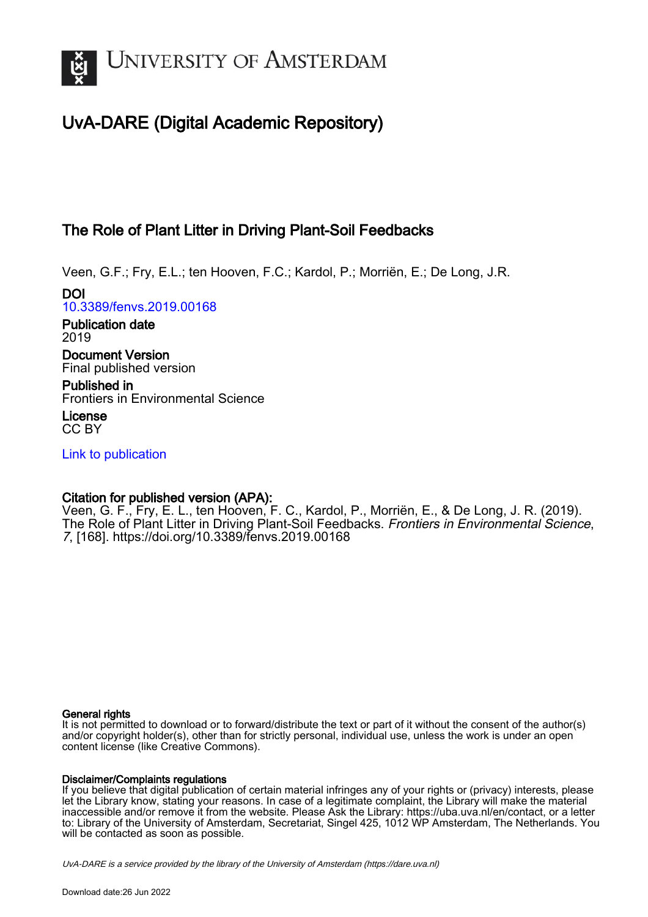

# UvA-DARE (Digital Academic Repository)

## The Role of Plant Litter in Driving Plant-Soil Feedbacks

Veen, G.F.; Fry, E.L.; ten Hooven, F.C.; Kardol, P.; Morriën, E.; De Long, J.R.

DOI [10.3389/fenvs.2019.00168](https://doi.org/10.3389/fenvs.2019.00168)

Publication date 2019

Document Version Final published version

Published in Frontiers in Environmental Science

License CC BY

[Link to publication](https://dare.uva.nl/personal/pure/en/publications/the-role-of-plant-litter-in-driving-plantsoil-feedbacks(603e99f8-5819-4945-b202-99daa1e698a4).html)

## Citation for published version (APA):

Veen, G. F., Fry, E. L., ten Hooven, F. C., Kardol, P., Morriën, E., & De Long, J. R. (2019). The Role of Plant Litter in Driving Plant-Soil Feedbacks. Frontiers in Environmental Science, 7, [168]. <https://doi.org/10.3389/fenvs.2019.00168>

#### General rights

It is not permitted to download or to forward/distribute the text or part of it without the consent of the author(s) and/or copyright holder(s), other than for strictly personal, individual use, unless the work is under an open content license (like Creative Commons).

#### Disclaimer/Complaints regulations

If you believe that digital publication of certain material infringes any of your rights or (privacy) interests, please let the Library know, stating your reasons. In case of a legitimate complaint, the Library will make the material inaccessible and/or remove it from the website. Please Ask the Library: https://uba.uva.nl/en/contact, or a letter to: Library of the University of Amsterdam, Secretariat, Singel 425, 1012 WP Amsterdam, The Netherlands. You will be contacted as soon as possible.

UvA-DARE is a service provided by the library of the University of Amsterdam (http*s*://dare.uva.nl)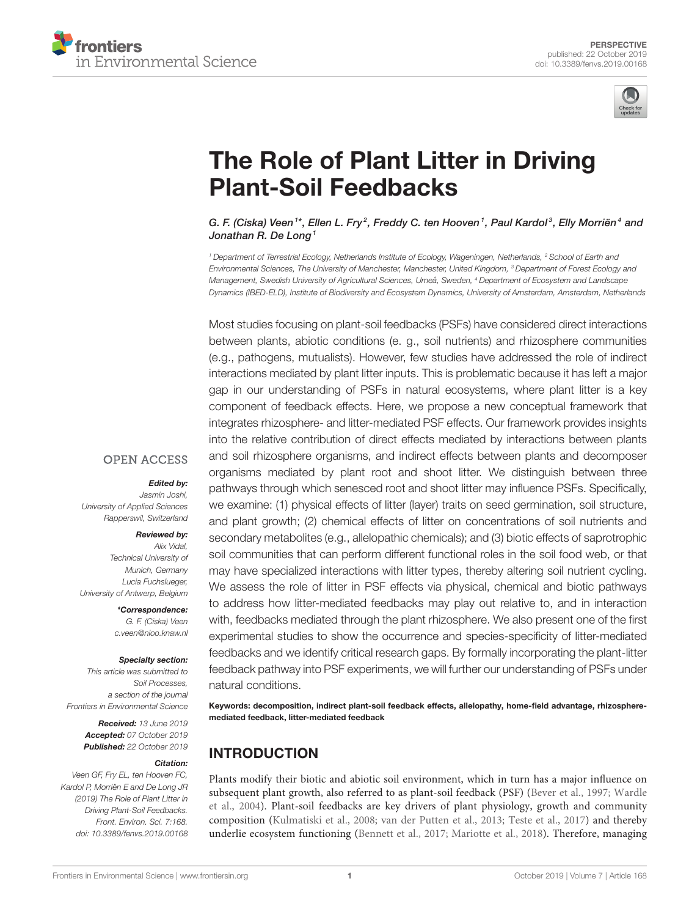



# [The Role of Plant Litter in Driving](https://www.frontiersin.org/articles/10.3389/fenvs.2019.00168/full) Plant-Soil Feedbacks

[G. F. \(Ciska\) Veen](http://loop.frontiersin.org/people/422806/overview)  $^{\rm 1}*$ , [Ellen L. Fry](http://loop.frontiersin.org/people/745822/overview) $^2$ , [Freddy C. ten Hooven](http://loop.frontiersin.org/people/495202/overview)  $^{\rm 1}$ , [Paul Kardol](http://loop.frontiersin.org/people/88871/overview) $^{\rm 3}$ , [Elly Morriën](http://loop.frontiersin.org/people/467335/overview) $^{\rm 4}$  and [Jonathan R. De Long](http://loop.frontiersin.org/people/652426/overview)<sup>1</sup>

<sup>1</sup> Department of Terrestrial Ecology, Netherlands Institute of Ecology, Wageningen, Netherlands, <sup>2</sup> School of Earth and Environmental Sciences, The University of Manchester, Manchester, United Kingdom, <sup>3</sup> Department of Forest Ecology and Management, Swedish University of Agricultural Sciences, Umeå, Sweden, <sup>4</sup> Department of Ecosystem and Landscape Dynamics (IBED-ELD), Institute of Biodiversity and Ecosystem Dynamics, University of Amsterdam, Amsterdam, Netherlands

Most studies focusing on plant-soil feedbacks (PSFs) have considered direct interactions between plants, abiotic conditions (e. g., soil nutrients) and rhizosphere communities (e.g., pathogens, mutualists). However, few studies have addressed the role of indirect interactions mediated by plant litter inputs. This is problematic because it has left a major gap in our understanding of PSFs in natural ecosystems, where plant litter is a key component of feedback effects. Here, we propose a new conceptual framework that integrates rhizosphere- and litter-mediated PSF effects. Our framework provides insights into the relative contribution of direct effects mediated by interactions between plants and soil rhizosphere organisms, and indirect effects between plants and decomposer organisms mediated by plant root and shoot litter. We distinguish between three pathways through which senesced root and shoot litter may influence PSFs. Specifically, we examine: (1) physical effects of litter (layer) traits on seed germination, soil structure, and plant growth; (2) chemical effects of litter on concentrations of soil nutrients and secondary metabolites (e.g., allelopathic chemicals); and (3) biotic effects of saprotrophic soil communities that can perform different functional roles in the soil food web, or that may have specialized interactions with litter types, thereby altering soil nutrient cycling. We assess the role of litter in PSF effects via physical, chemical and biotic pathways to address how litter-mediated feedbacks may play out relative to, and in interaction with, feedbacks mediated through the plant rhizosphere. We also present one of the first experimental studies to show the occurrence and species-specificity of litter-mediated feedbacks and we identify critical research gaps. By formally incorporating the plant-litter feedback pathway into PSF experiments, we will further our understanding of PSFs under natural conditions.

Keywords: decomposition, indirect plant-soil feedback effects, allelopathy, home-field advantage, rhizospheremediated feedback, litter-mediated feedback

#### INTRODUCTION

Plants modify their biotic and abiotic soil environment, which in turn has a major influence on subsequent plant growth, also referred to as plant-soil feedback (PSF) [\(Bever et al., 1997;](#page-8-0) Wardle et al., [2004\)](#page-10-0). Plant-soil feedbacks are key drivers of plant physiology, growth and community composition [\(Kulmatiski et al., 2008;](#page-9-0) [van der Putten et al., 2013;](#page-10-1) [Teste et](#page-10-2) al., [2017\)](#page-10-2) and thereby underlie ecosystem functioning [\(Bennett et al., 2017;](#page-7-0) [Mariotte et al., 2018\)](#page-9-1). Therefore, managing

#### **OPEN ACCESS**

#### Edited by:

Jasmin Joshi, University of Applied Sciences Rapperswil, Switzerland

#### Reviewed by:

Alix Vidal, Technical University of Munich, Germany Lucia Fuchslueger, University of Antwerp, Belgium

> \*Correspondence: G. F. (Ciska) Veen [c.veen@nioo.knaw.nl](mailto:c.veen@nioo.knaw.nl)

#### Specialty section:

This article was submitted to Soil Processes, a section of the journal Frontiers in Environmental Science

> Received: 13 June 2019 Accepted: 07 October 2019 Published: 22 October 2019

#### Citation:

Veen GF, Fry EL, ten Hooven FC, Kardol P, Morriën E and De Long JR (2019) The Role of Plant Litter in Driving Plant-Soil Feedbacks. Front. Environ. Sci. 7:168. doi: [10.3389/fenvs.2019.00168](https://doi.org/10.3389/fenvs.2019.00168)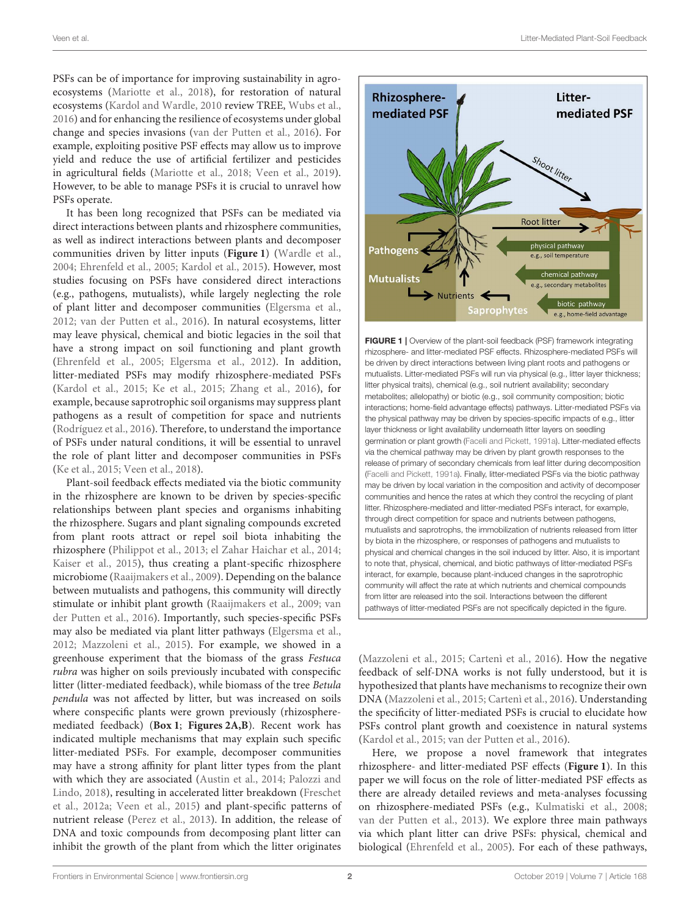Veen et al. Litter-Mediated Plant-Soil Feedback

PSFs can be of importance for improving sustainability in agroecosystems [\(Mariotte et al., 2018\)](#page-9-1), for restoration of natural ecosystems [\(Kardol and Wardle, 2010](#page-9-2) review TREE, [Wubs et al.,](#page-10-3) [2016\)](#page-10-3) and for enhancing the resilience of ecosystems under global change and species invasions [\(van der Putten et al., 2016\)](#page-10-4). For example, exploiting positive PSF effects may allow us to improve yield and reduce the use of artificial fertilizer and pesticides in agricultural fields [\(Mariotte et al., 2018;](#page-9-1) [Veen et al., 2019\)](#page-10-5). However, to be able to manage PSFs it is crucial to unravel how PSFs operate.

It has been long recognized that PSFs can be mediated via direct interactions between plants and rhizosphere communities, as well as indirect interactions between plants and decomposer communities driven by litter inputs (**[Figure 1](#page-2-0)**) [\(Wardle et al.,](#page-10-0) [2004;](#page-10-0) [Ehrenfeld et al., 2005;](#page-8-1) [Kardol et al., 2015\)](#page-9-3). However, most studies focusing on PSFs have considered direct interactions (e.g., pathogens, mutualists), while largely neglecting the role of plant litter and decomposer communities [\(Elgersma et al.,](#page-8-2) [2012;](#page-8-2) [van der Putten et al., 2016\)](#page-10-4). In natural ecosystems, litter may leave physical, chemical and biotic legacies in the soil that have a strong impact on soil functioning and plant growth [\(Ehrenfeld et al., 2005;](#page-8-1) [Elgersma et al., 2012\)](#page-8-2). In addition, litter-mediated PSFs may modify rhizosphere-mediated PSFs [\(Kardol et al., 2015;](#page-9-3) [Ke et al., 2015;](#page-9-4) [Zhang et al., 2016\)](#page-10-6), for example, because saprotrophic soil organisms may suppress plant pathogens as a result of competition for space and nutrients [\(Rodríguez et al., 2016\)](#page-9-5). Therefore, to understand the importance of PSFs under natural conditions, it will be essential to unravel the role of plant litter and decomposer communities in PSFs [\(Ke et al., 2015;](#page-9-4) [Veen et al., 2018\)](#page-10-7).

Plant-soil feedback effects mediated via the biotic community in the rhizosphere are known to be driven by species-specific relationships between plant species and organisms inhabiting the rhizosphere. Sugars and plant signaling compounds excreted from plant roots attract or repel soil biota inhabiting the rhizosphere [\(Philippot et al., 2013;](#page-9-6) [el Zahar Haichar et al., 2014;](#page-8-3) [Kaiser et al., 2015\)](#page-8-4), thus creating a plant-specific rhizosphere microbiome [\(Raaijmakers et al., 2009\)](#page-9-7). Depending on the balance between mutualists and pathogens, this community will directly stimulate or inhibit plant growth [\(Raaijmakers et al., 2009;](#page-9-7) van der Putten et al., [2016\)](#page-10-4). Importantly, such species-specific PSFs may also be mediated via plant litter pathways [\(Elgersma et al.,](#page-8-2) [2012;](#page-8-2) [Mazzoleni et al., 2015\)](#page-9-8). For example, we showed in a greenhouse experiment that the biomass of the grass Festuca rubra was higher on soils previously incubated with conspecific litter (litter-mediated feedback), while biomass of the tree Betula pendula was not affected by litter, but was increased on soils where conspecific plants were grown previously (rhizospheremediated feedback) (**[Box 1](#page-3-0)**; **[Figures 2A,B](#page-4-0)**). Recent work has indicated multiple mechanisms that may explain such specific litter-mediated PSFs. For example, decomposer communities may have a strong affinity for plant litter types from the plant with which they are associated [\(Austin et al., 2014;](#page-7-1) Palozzi and Lindo, [2018\)](#page-9-9), resulting in accelerated litter breakdown (Freschet et al., [2012a;](#page-8-5) [Veen et al., 2015\)](#page-10-8) and plant-specific patterns of nutrient release [\(Perez et al., 2013\)](#page-9-10). In addition, the release of DNA and toxic compounds from decomposing plant litter can inhibit the growth of the plant from which the litter originates



<span id="page-2-0"></span>FIGURE 1 | Overview of the plant-soil feedback (PSF) framework integrating rhizosphere- and litter-mediated PSF effects. Rhizosphere-mediated PSFs will be driven by direct interactions between living plant roots and pathogens or mutualists. Litter-mediated PSFs will run via physical (e.g., litter layer thickness; litter physical traits), chemical (e.g., soil nutrient availability; secondary metabolites; allelopathy) or biotic (e.g., soil community composition; biotic interactions; home-field advantage effects) pathways. Litter-mediated PSFs via the physical pathway may be driven by species-specific impacts of e.g., litter layer thickness or light availability underneath litter layers on seedling germination or plant growth [\(Facelli and Pickett, 1991a\)](#page-8-6). Litter-mediated effects via the chemical pathway may be driven by plant growth responses to the release of primary of secondary chemicals from leaf litter during decomposition [\(Facelli and Pickett, 1991a\)](#page-8-6). Finally, litter-mediated PSFs via the biotic pathway may be driven by local variation in the composition and activity of decomposer communities and hence the rates at which they control the recycling of plant litter. Rhizosphere-mediated and litter-mediated PSFs interact, for example, through direct competition for space and nutrients between pathogens, mutualists and saprotrophs, the immobilization of nutrients released from litter by biota in the rhizosphere, or responses of pathogens and mutualists to physical and chemical changes in the soil induced by litter. Also, it is important to note that, physical, chemical, and biotic pathways of litter-mediated PSFs interact, for example, because plant-induced changes in the saprotrophic community will affect the rate at which nutrients and chemical compounds from litter are released into the soil. Interactions between the different pathways of litter-mediated PSFs are not specifically depicted in the figure.

[\(Mazzoleni et al., 2015;](#page-9-8) [Cartenì et al., 2016\)](#page-8-7). How the negative feedback of self-DNA works is not fully understood, but it is hypothesized that plants have mechanisms to recognize their own DNA [\(Mazzoleni et al., 2015;](#page-9-8) [Cartenì et al., 2016\)](#page-8-7). Understanding the specificity of litter-mediated PSFs is crucial to elucidate how PSFs control plant growth and coexistence in natural systems [\(Kardol et al., 2015;](#page-9-3) [van der Putten et al., 2016\)](#page-10-4).

Here, we propose a novel framework that integrates rhizosphere- and litter-mediated PSF effects (**[Figure 1](#page-2-0)**). In this paper we will focus on the role of litter-mediated PSF effects as there are already detailed reviews and meta-analyses focussing on rhizosphere-mediated PSFs (e.g., [Kulmatiski et al., 2008;](#page-9-0) [van der Putten et al., 2013\)](#page-10-1). We explore three main pathways via which plant litter can drive PSFs: physical, chemical and biological [\(Ehrenfeld et al., 2005\)](#page-8-1). For each of these pathways,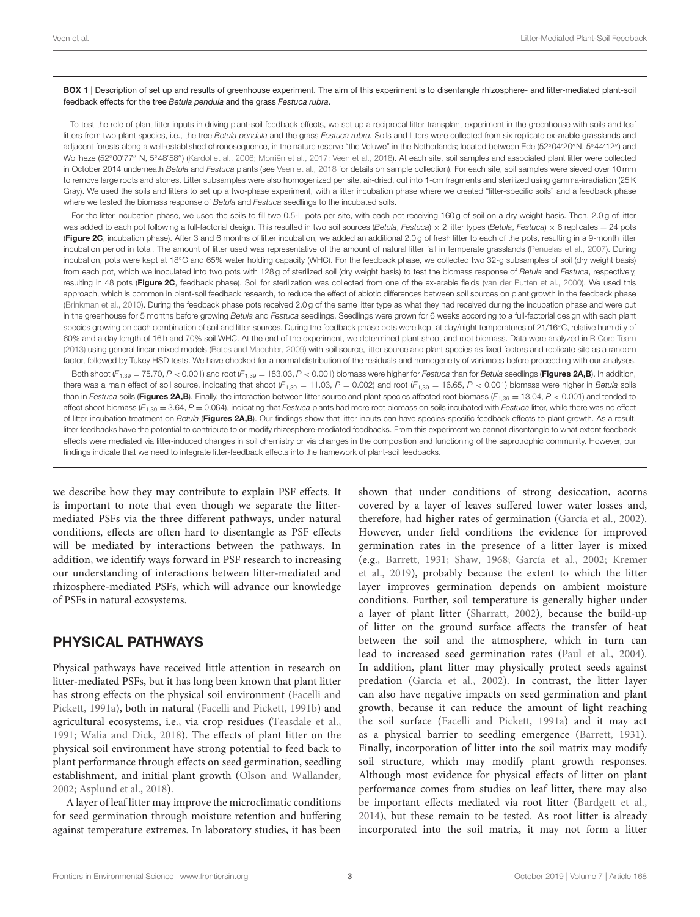<span id="page-3-0"></span>BOX 1 | Description of set up and results of greenhouse experiment. The aim of this experiment is to disentangle rhizosphere- and litter-mediated plant-soil feedback effects for the tree Betula pendula and the grass Festuca rubra.

To test the role of plant litter inputs in driving plant-soil feedback effects, we set up a reciprocal litter transplant experiment in the greenhouse with soils and leaf litters from two plant species, i.e., the tree Betula pendula and the grass Festuca rubra. Soils and litters were collected from six replicate ex-arable grasslands and adjacent forests along a well-established chronosequence, in the nature reserve "the Veluwe" in the Netherlands; located between Ede (52◦04′20′′N, 5◦44′12′′) and Wolfheze (52°00′77″ N, 5°48′58″) [\(Kardol et al., 2006;](#page-9-11) [Morriën et al., 2017;](#page-9-12) [Veen et al., 2018\)](#page-10-7). At each site, soil samples and associated plant litter were collected in October 2014 underneath Betula and Festuca plants (see [Veen et al., 2018](#page-10-7) for details on sample collection). For each site, soil samples were sieved over 10 mm to remove large roots and stones. Litter subsamples were also homogenized per site, air-dried, cut into 1-cm fragments and sterilized using gamma-irradiation (25 K Gray). We used the soils and litters to set up a two-phase experiment, with a litter incubation phase where we created "litter-specific soils" and a feedback phase where we tested the biomass response of Betula and Festuca seedlings to the incubated soils.

For the litter incubation phase, we used the soils to fill two 0.5-L pots per site, with each pot receiving 160 g of soil on a dry weight basis. Then, 2.0 g of litter was added to each pot following a full-factorial design. This resulted in two soil sources (Betula, Festuca)  $\times$  2 litter types (Betula, Festuca)  $\times$  6 replicates = 24 pots ([Figure 2C](#page-4-0), incubation phase). After 3 and 6 months of litter incubation, we added an additional 2.0 g of fresh litter to each of the pots, resulting in a 9-month litter incubation period in total. The amount of litter used was representative of the amount of natural litter fall in temperate grasslands [\(Penuelas et al., 2007\)](#page-9-13). During incubation, pots were kept at 18◦C and 65% water holding capacity (WHC). For the feedback phase, we collected two 32-g subsamples of soil (dry weight basis) from each pot, which we inoculated into two pots with 128 g of sterilized soil (dry weight basis) to test the biomass response of Betula and Festuca, respectively, resulting in 48 pots ([Figure 2C](#page-4-0), feedback phase). Soil for sterilization was collected from one of the ex-arable fields [\(van der Putten et al., 2000\)](#page-10-9). We used this approach, which is common in plant-soil feedback research, to reduce the effect of abiotic differences between soil sources on plant growth in the feedback phase [\(Brinkman et al., 2010\)](#page-8-8). During the feedback phase pots received 2.0g of the same litter type as what they had received during the incubation phase and were put in the greenhouse for 5 months before growing Betula and Festuca seedlings. Seedlings were grown for 6 weeks according to a full-factorial design with each plant species growing on each combination of soil and litter sources. During the feedback phase pots were kept at day/night temperatures of 21/16℃, relative humidity of 60% and a day length of 16 h and 70% soil WHC. At the end of the experiment, we determined plant shoot and root biomass. Data were analyzed in [R Core Team](#page-9-14) [\(2013\)](#page-9-14) using general linear mixed models [\(Bates and Maechler, 2009\)](#page-7-2) with soil source, litter source and plant species as fixed factors and replicate site as a random factor, followed by Tukey HSD tests. We have checked for a normal distribution of the residuals and homogeneity of variances before proceeding with our analyses.

Both shoot (F<sub>1,39</sub> = 75.70, P < 0.001) and root (F<sub>1,39</sub> = 183.03, P < 0.001) biomass were higher for Festuca than for Betula seedlings ([Figures 2A,B](#page-4-0)). In addition, there was a main effect of soil source, indicating that shoot  $(F_{1,39} = 11.03, P = 0.002)$  and root  $(F_{1,39} = 16.65, P < 0.001)$  biomass were higher in Betula soils than in Festuca soils ([Figures 2A,B](#page-4-0)). Finally, the interaction between litter source and plant species affected root biomass ( $F_{1,39}$  = 13.04,  $P$  < 0.001) and tended to affect shoot biomass ( $F_{1,39} = 3.64$ ,  $P = 0.064$ ), indicating that Festuca plants had more root biomass on soils incubated with Festuca litter, while there was no effect of litter incubation treatment on Betula ([Figures 2A,B](#page-4-0)). Our findings show that litter inputs can have species-specific feedback effects to plant growth. As a result, litter feedbacks have the potential to contribute to or modify rhizosphere-mediated feedbacks. From this experiment we cannot disentangle to what extent feedback effects were mediated via litter-induced changes in soil chemistry or via changes in the composition and functioning of the saprotrophic community. However, our findings indicate that we need to integrate litter-feedback effects into the framework of plant-soil feedbacks.

we describe how they may contribute to explain PSF effects. It is important to note that even though we separate the littermediated PSFs via the three different pathways, under natural conditions, effects are often hard to disentangle as PSF effects will be mediated by interactions between the pathways. In addition, we identify ways forward in PSF research to increasing our understanding of interactions between litter-mediated and rhizosphere-mediated PSFs, which will advance our knowledge of PSFs in natural ecosystems.

#### PHYSICAL PATHWAYS

Physical pathways have received little attention in research on litter-mediated PSFs, but it has long been known that plant litter has strong effects on the physical soil environment (Facelli and Pickett, [1991a\)](#page-8-6), both in natural [\(Facelli and Pickett, 1991b\)](#page-8-9) and agricultural ecosystems, i.e., via crop residues [\(Teasdale et al.,](#page-10-10) [1991;](#page-10-10) [Walia and Dick, 2018\)](#page-10-11). The effects of plant litter on the physical soil environment have strong potential to feed back to plant performance through effects on seed germination, seedling establishment, and initial plant growth [\(Olson and Wallander,](#page-9-15) [2002;](#page-9-15) [Asplund et al., 2018\)](#page-7-3).

A layer of leaf litter may improve the microclimatic conditions for seed germination through moisture retention and buffering against temperature extremes. In laboratory studies, it has been shown that under conditions of strong desiccation, acorns covered by a layer of leaves suffered lower water losses and, therefore, had higher rates of germination [\(García et al., 2002\)](#page-8-10). However, under field conditions the evidence for improved germination rates in the presence of a litter layer is mixed (e.g., [Barrett, 1931;](#page-7-4) [Shaw, 1968;](#page-9-16) [García et al., 2002;](#page-8-10) Kremer et al., [2019\)](#page-9-17), probably because the extent to which the litter layer improves germination depends on ambient moisture conditions. Further, soil temperature is generally higher under a layer of plant litter [\(Sharratt, 2002\)](#page-9-18), because the build-up of litter on the ground surface affects the transfer of heat between the soil and the atmosphere, which in turn can lead to increased seed germination rates [\(Paul et al., 2004\)](#page-9-19). In addition, plant litter may physically protect seeds against predation [\(García et al., 2002\)](#page-8-10). In contrast, the litter layer can also have negative impacts on seed germination and plant growth, because it can reduce the amount of light reaching the soil surface [\(Facelli and Pickett, 1991a\)](#page-8-6) and it may act as a physical barrier to seedling emergence [\(Barrett, 1931\)](#page-7-4). Finally, incorporation of litter into the soil matrix may modify soil structure, which may modify plant growth responses. Although most evidence for physical effects of litter on plant performance comes from studies on leaf litter, there may also be important effects mediated via root litter [\(Bardgett et al.,](#page-7-5) [2014\)](#page-7-5), but these remain to be tested. As root litter is already incorporated into the soil matrix, it may not form a litter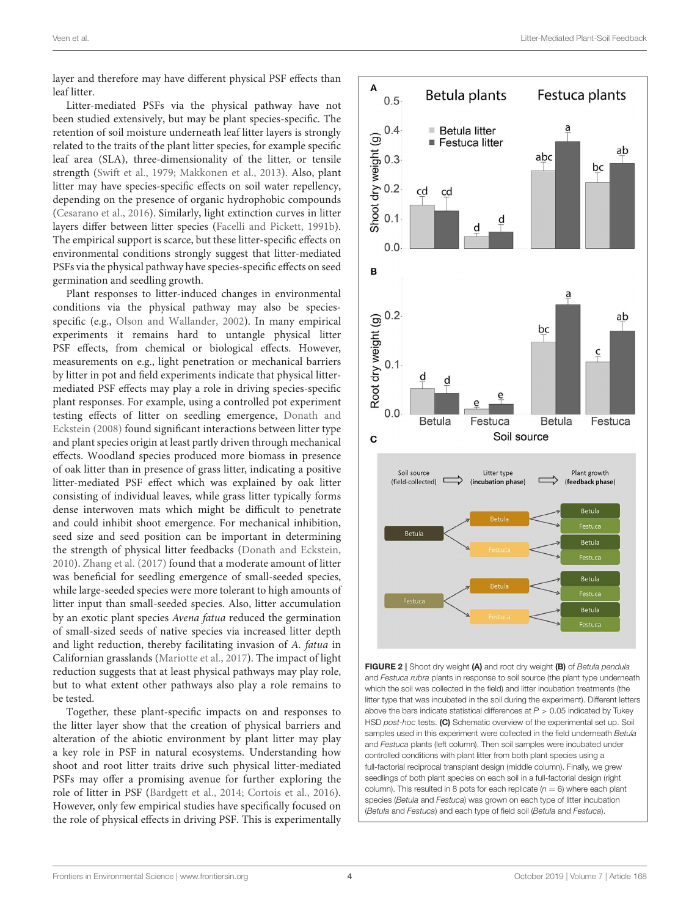layer and therefore may have different physical PSF effects than leaf litter.

Litter-mediated PSFs via the physical pathway have not been studied extensively, but may be plant species-specific. The retention of soil moisture underneath leaf litter layers is strongly related to the traits of the plant litter species, for example specific leaf area (SLA), three-dimensionality of the litter, or tensile strength [\(Swift et al., 1979;](#page-10-12) [Makkonen et al., 2013\)](#page-9-20). Also, plant litter may have species-specific effects on soil water repellency, depending on the presence of organic hydrophobic compounds [\(Cesarano et al., 2016\)](#page-8-11). Similarly, light extinction curves in litter layers differ between litter species [\(Facelli and Pickett, 1991b\)](#page-8-9). The empirical support is scarce, but these litter-specific effects on environmental conditions strongly suggest that litter-mediated PSFs via the physical pathway have species-specific effects on seed germination and seedling growth.

Plant responses to litter-induced changes in environmental conditions via the physical pathway may also be speciesspecific (e.g., [Olson and Wallander, 2002\)](#page-9-15). In many empirical experiments it remains hard to untangle physical litter PSF effects, from chemical or biological effects. However, measurements on e.g., light penetration or mechanical barriers by litter in pot and field experiments indicate that physical littermediated PSF effects may play a role in driving species-specific plant responses. For example, using a controlled pot experiment testing effects of litter on seedling emergence, Donath and Eckstein [\(2008\)](#page-8-12) found significant interactions between litter type and plant species origin at least partly driven through mechanical effects. Woodland species produced more biomass in presence of oak litter than in presence of grass litter, indicating a positive litter-mediated PSF effect which was explained by oak litter consisting of individual leaves, while grass litter typically forms dense interwoven mats which might be difficult to penetrate and could inhibit shoot emergence. For mechanical inhibition, seed size and seed position can be important in determining the strength of physical litter feedbacks [\(Donath and Eckstein,](#page-8-13) [2010\)](#page-8-13). [Zhang et al. \(2017\)](#page-10-13) found that a moderate amount of litter was beneficial for seedling emergence of small-seeded species, while large-seeded species were more tolerant to high amounts of litter input than small-seeded species. Also, litter accumulation by an exotic plant species Avena fatua reduced the germination of small-sized seeds of native species via increased litter depth and light reduction, thereby facilitating invasion of A. fatua in Californian grasslands [\(Mariotte et al., 2017\)](#page-9-21). The impact of light reduction suggests that at least physical pathways may play role, but to what extent other pathways also play a role remains to be tested.

Together, these plant-specific impacts on and responses to the litter layer show that the creation of physical barriers and alteration of the abiotic environment by plant litter may play a key role in PSF in natural ecosystems. Understanding how shoot and root litter traits drive such physical litter-mediated PSFs may offer a promising avenue for further exploring the role of litter in PSF [\(Bardgett et al., 2014;](#page-7-5) [Cortois et al., 2016\)](#page-8-14). However, only few empirical studies have specifically focused on the role of physical effects in driving PSF. This is experimentally



<span id="page-4-0"></span>FIGURE 2 | Shoot dry weight (A) and root dry weight (B) of Betula pendula and Festuca rubra plants in response to soil source (the plant type underneath which the soil was collected in the field) and litter incubation treatments (the litter type that was incubated in the soil during the experiment). Different letters above the bars indicate statistical differences at  $P > 0.05$  indicated by Tukey HSD post-hoc tests. (C) Schematic overview of the experimental set up. Soil samples used in this experiment were collected in the field underneath Betula and Festuca plants (left column). Then soil samples were incubated under controlled conditions with plant litter from both plant species using a full-factorial reciprocal transplant design (middle column). Finally, we grew seedlings of both plant species on each soil in a full-factorial design (right column). This resulted in 8 pots for each replicate  $(n = 6)$  where each plant species (Betula and Festuca) was grown on each type of litter incubation (Betula and Festuca) and each type of field soil (Betula and Festuca).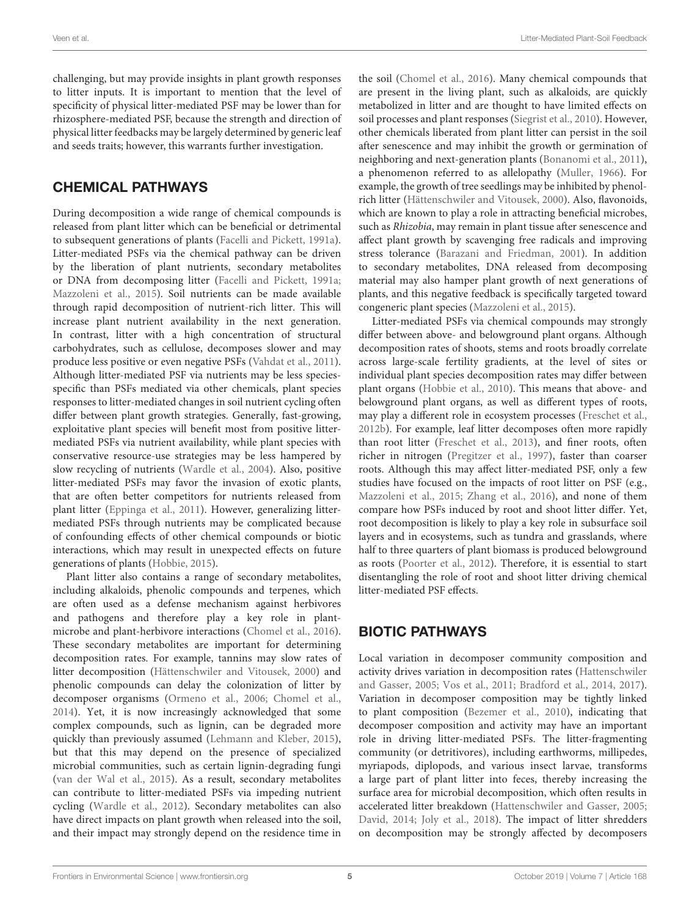challenging, but may provide insights in plant growth responses to litter inputs. It is important to mention that the level of specificity of physical litter-mediated PSF may be lower than for rhizosphere-mediated PSF, because the strength and direction of physical litter feedbacks may be largely determined by generic leaf and seeds traits; however, this warrants further investigation.

## CHEMICAL PATHWAYS

During decomposition a wide range of chemical compounds is released from plant litter which can be beneficial or detrimental to subsequent generations of plants [\(Facelli and Pickett, 1991a\)](#page-8-6). Litter-mediated PSFs via the chemical pathway can be driven by the liberation of plant nutrients, secondary metabolites or DNA from decomposing litter [\(Facelli and Pickett, 1991a;](#page-8-6) [Mazzoleni et al., 2015\)](#page-9-8). Soil nutrients can be made available through rapid decomposition of nutrient-rich litter. This will increase plant nutrient availability in the next generation. In contrast, litter with a high concentration of structural carbohydrates, such as cellulose, decomposes slower and may produce less positive or even negative PSFs [\(Vahdat et al., 2011\)](#page-10-14). Although litter-mediated PSF via nutrients may be less speciesspecific than PSFs mediated via other chemicals, plant species responses to litter-mediated changes in soil nutrient cycling often differ between plant growth strategies. Generally, fast-growing, exploitative plant species will benefit most from positive littermediated PSFs via nutrient availability, while plant species with conservative resource-use strategies may be less hampered by slow recycling of nutrients [\(Wardle et al., 2004\)](#page-10-0). Also, positive litter-mediated PSFs may favor the invasion of exotic plants, that are often better competitors for nutrients released from plant litter [\(Eppinga et al., 2011\)](#page-8-15). However, generalizing littermediated PSFs through nutrients may be complicated because of confounding effects of other chemical compounds or biotic interactions, which may result in unexpected effects on future generations of plants [\(Hobbie, 2015\)](#page-8-16).

Plant litter also contains a range of secondary metabolites, including alkaloids, phenolic compounds and terpenes, which are often used as a defense mechanism against herbivores and pathogens and therefore play a key role in plantmicrobe and plant-herbivore interactions [\(Chomel et al., 2016\)](#page-8-17). These secondary metabolites are important for determining decomposition rates. For example, tannins may slow rates of litter decomposition [\(Hättenschwiler and Vitousek, 2000\)](#page-8-18) and phenolic compounds can delay the colonization of litter by decomposer organisms [\(Ormeno et al., 2006;](#page-9-22) [Chomel et al.,](#page-8-19) [2014\)](#page-8-19). Yet, it is now increasingly acknowledged that some complex compounds, such as lignin, can be degraded more quickly than previously assumed [\(Lehmann and Kleber, 2015\)](#page-9-23), but that this may depend on the presence of specialized microbial communities, such as certain lignin-degrading fungi [\(van der Wal et al., 2015\)](#page-10-15). As a result, secondary metabolites can contribute to litter-mediated PSFs via impeding nutrient cycling [\(Wardle et al., 2012\)](#page-10-16). Secondary metabolites can also have direct impacts on plant growth when released into the soil, and their impact may strongly depend on the residence time in the soil [\(Chomel et al., 2016\)](#page-8-17). Many chemical compounds that are present in the living plant, such as alkaloids, are quickly metabolized in litter and are thought to have limited effects on soil processes and plant responses [\(Siegrist et al., 2010\)](#page-9-24). However, other chemicals liberated from plant litter can persist in the soil after senescence and may inhibit the growth or germination of neighboring and next-generation plants [\(Bonanomi et al., 2011\)](#page-8-20), a phenomenon referred to as allelopathy [\(Muller, 1966\)](#page-9-25). For example, the growth of tree seedlings may be inhibited by phenolrich litter [\(Hättenschwiler and Vitousek, 2000\)](#page-8-18). Also, flavonoids, which are known to play a role in attracting beneficial microbes, such as Rhizobia, may remain in plant tissue after senescence and affect plant growth by scavenging free radicals and improving stress tolerance [\(Barazani and Friedman, 2001\)](#page-7-6). In addition to secondary metabolites, DNA released from decomposing material may also hamper plant growth of next generations of plants, and this negative feedback is specifically targeted toward congeneric plant species [\(Mazzoleni et al., 2015\)](#page-9-8).

Litter-mediated PSFs via chemical compounds may strongly differ between above- and belowground plant organs. Although decomposition rates of shoots, stems and roots broadly correlate across large-scale fertility gradients, at the level of sites or individual plant species decomposition rates may differ between plant organs [\(Hobbie et al., 2010\)](#page-8-21). This means that above- and belowground plant organs, as well as different types of roots, may play a different role in ecosystem processes [\(Freschet et al.,](#page-8-22) [2012b\)](#page-8-22). For example, leaf litter decomposes often more rapidly than root litter [\(Freschet et al., 2013\)](#page-8-23), and finer roots, often richer in nitrogen [\(Pregitzer et al., 1997\)](#page-9-26), faster than coarser roots. Although this may affect litter-mediated PSF, only a few studies have focused on the impacts of root litter on PSF (e.g., [Mazzoleni et al., 2015;](#page-9-8) [Zhang et al., 2016\)](#page-10-6), and none of them compare how PSFs induced by root and shoot litter differ. Yet, root decomposition is likely to play a key role in subsurface soil layers and in ecosystems, such as tundra and grasslands, where half to three quarters of plant biomass is produced belowground as roots [\(Poorter et al., 2012\)](#page-9-27). Therefore, it is essential to start disentangling the role of root and shoot litter driving chemical litter-mediated PSF effects.

## BIOTIC PATHWAYS

Local variation in decomposer community composition and activity drives variation in decomposition rates (Hattenschwiler and Gasser, [2005;](#page-8-24) [Vos et al., 2011;](#page-10-17) [Bradford et al., 2014,](#page-8-25) [2017\)](#page-8-26). Variation in decomposer composition may be tightly linked to plant composition [\(Bezemer et al., 2010\)](#page-8-27), indicating that decomposer composition and activity may have an important role in driving litter-mediated PSFs. The litter-fragmenting community (or detritivores), including earthworms, millipedes, myriapods, diplopods, and various insect larvae, transforms a large part of plant litter into feces, thereby increasing the surface area for microbial decomposition, which often results in accelerated litter breakdown [\(Hattenschwiler and Gasser, 2005;](#page-8-24) [David, 2014;](#page-8-28) [Joly et al., 2018\)](#page-8-29). The impact of litter shredders on decomposition may be strongly affected by decomposers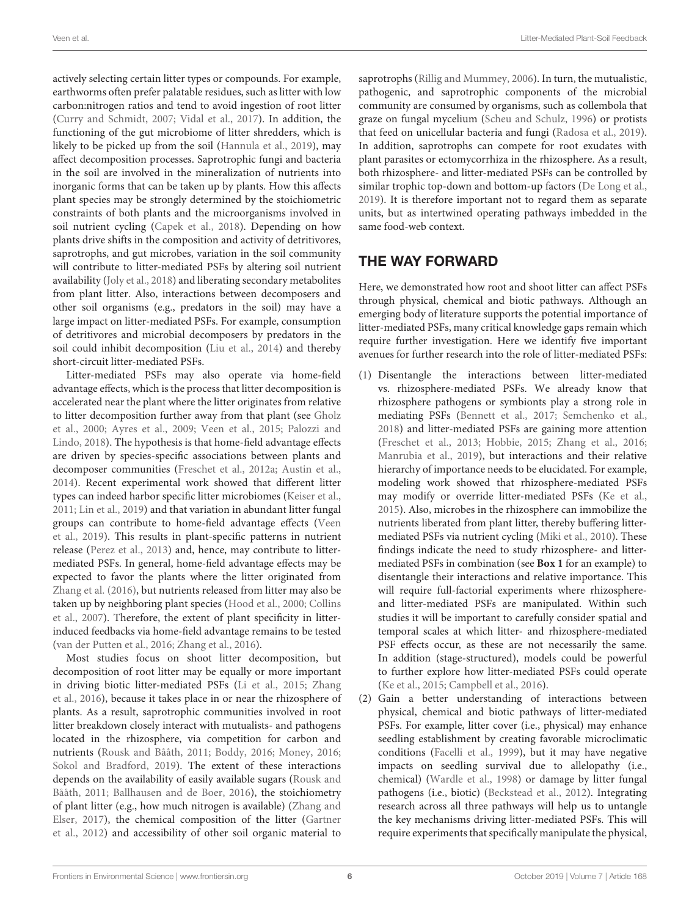actively selecting certain litter types or compounds. For example, earthworms often prefer palatable residues, such as litter with low carbon:nitrogen ratios and tend to avoid ingestion of root litter [\(Curry and Schmidt, 2007;](#page-8-30) [Vidal et al., 2017\)](#page-10-18). In addition, the functioning of the gut microbiome of litter shredders, which is likely to be picked up from the soil [\(Hannula et al., 2019\)](#page-8-31), may affect decomposition processes. Saprotrophic fungi and bacteria in the soil are involved in the mineralization of nutrients into inorganic forms that can be taken up by plants. How this affects plant species may be strongly determined by the stoichiometric constraints of both plants and the microorganisms involved in soil nutrient cycling [\(Capek et al., 2018\)](#page-8-32). Depending on how plants drive shifts in the composition and activity of detritivores, saprotrophs, and gut microbes, variation in the soil community will contribute to litter-mediated PSFs by altering soil nutrient availability [\(Joly et al., 2018\)](#page-8-29) and liberating secondary metabolites from plant litter. Also, interactions between decomposers and other soil organisms (e.g., predators in the soil) may have a large impact on litter-mediated PSFs. For example, consumption of detritivores and microbial decomposers by predators in the soil could inhibit decomposition [\(Liu et al., 2014\)](#page-9-28) and thereby short-circuit litter-mediated PSFs.

Litter-mediated PSFs may also operate via home-field advantage effects, which is the process that litter decomposition is accelerated near the plant where the litter originates from relative to litter decomposition further away from that plant (see Gholz et al., [2000;](#page-8-33) [Ayres et al., 2009;](#page-7-7) [Veen et al., 2015;](#page-10-8) Palozzi and Lindo, [2018\)](#page-9-9). The hypothesis is that home-field advantage effects are driven by species-specific associations between plants and decomposer communities [\(Freschet et al., 2012a;](#page-8-5) [Austin et al.,](#page-7-1) [2014\)](#page-7-1). Recent experimental work showed that different litter types can indeed harbor specific litter microbiomes [\(Keiser et al.,](#page-9-29) [2011;](#page-9-29) [Lin et al., 2019\)](#page-9-30) and that variation in abundant litter fungal groups can contribute to home-field advantage effects (Veen et al., [2019\)](#page-10-5). This results in plant-specific patterns in nutrient release [\(Perez et al., 2013\)](#page-9-10) and, hence, may contribute to littermediated PSFs. In general, home-field advantage effects may be expected to favor the plants where the litter originated from [Zhang et al. \(2016\)](#page-10-6), but nutrients released from litter may also be taken up by neighboring plant species [\(Hood et al., 2000;](#page-8-34) Collins et al., [2007\)](#page-8-35). Therefore, the extent of plant specificity in litterinduced feedbacks via home-field advantage remains to be tested [\(van der Putten et al., 2016;](#page-10-4) [Zhang et al., 2016\)](#page-10-6).

Most studies focus on shoot litter decomposition, but decomposition of root litter may be equally or more important in driving biotic litter-mediated PSFs [\(Li et al., 2015;](#page-9-31) Zhang et al., [2016\)](#page-10-6), because it takes place in or near the rhizosphere of plants. As a result, saprotrophic communities involved in root litter breakdown closely interact with mutualists- and pathogens located in the rhizosphere, via competition for carbon and nutrients [\(Rousk and Bååth, 2011;](#page-9-32) [Boddy, 2016;](#page-8-36) [Money, 2016;](#page-9-33) [Sokol and Bradford, 2019\)](#page-10-19). The extent of these interactions depends on the availability of easily available sugars (Rousk and Bååth, [2011;](#page-9-32) [Ballhausen and de Boer, 2016\)](#page-7-8), the stoichiometry of plant litter (e.g., how much nitrogen is available) (Zhang and Elser, [2017\)](#page-10-20), the chemical composition of the litter (Gartner et al., [2012\)](#page-8-37) and accessibility of other soil organic material to

saprotrophs [\(Rillig and Mummey, 2006\)](#page-9-34). In turn, the mutualistic, pathogenic, and saprotrophic components of the microbial community are consumed by organisms, such as collembola that graze on fungal mycelium [\(Scheu and Schulz, 1996\)](#page-9-35) or protists that feed on unicellular bacteria and fungi [\(Radosa et al., 2019\)](#page-9-36). In addition, saprotrophs can compete for root exudates with plant parasites or ectomycorrhiza in the rhizosphere. As a result, both rhizosphere- and litter-mediated PSFs can be controlled by similar trophic top-down and bottom-up factors [\(De Long et al.,](#page-8-38) [2019\)](#page-8-38). It is therefore important not to regard them as separate units, but as intertwined operating pathways imbedded in the same food-web context.

## THE WAY FORWARD

Here, we demonstrated how root and shoot litter can affect PSFs through physical, chemical and biotic pathways. Although an emerging body of literature supports the potential importance of litter-mediated PSFs, many critical knowledge gaps remain which require further investigation. Here we identify five important avenues for further research into the role of litter-mediated PSFs:

- (1) Disentangle the interactions between litter-mediated vs. rhizosphere-mediated PSFs. We already know that rhizosphere pathogens or symbionts play a strong role in mediating PSFs [\(Bennett et al., 2017;](#page-7-0) [Semchenko et al.,](#page-9-37) [2018\)](#page-9-37) and litter-mediated PSFs are gaining more attention [\(Freschet et al., 2013;](#page-8-23) [Hobbie, 2015;](#page-8-16) [Zhang et al., 2016;](#page-10-6) [Manrubia et al., 2019\)](#page-9-38), but interactions and their relative hierarchy of importance needs to be elucidated. For example, modeling work showed that rhizosphere-mediated PSFs may modify or override litter-mediated PSFs [\(Ke et al.,](#page-9-4) [2015\)](#page-9-4). Also, microbes in the rhizosphere can immobilize the nutrients liberated from plant litter, thereby buffering littermediated PSFs via nutrient cycling [\(Miki et al., 2010\)](#page-9-39). These findings indicate the need to study rhizosphere- and littermediated PSFs in combination (see **[Box 1](#page-3-0)** for an example) to disentangle their interactions and relative importance. This will require full-factorial experiments where rhizosphereand litter-mediated PSFs are manipulated. Within such studies it will be important to carefully consider spatial and temporal scales at which litter- and rhizosphere-mediated PSF effects occur, as these are not necessarily the same. In addition (stage-structured), models could be powerful to further explore how litter-mediated PSFs could operate [\(Ke et al., 2015;](#page-9-4) [Campbell et al., 2016\)](#page-8-39).
- (2) Gain a better understanding of interactions between physical, chemical and biotic pathways of litter-mediated PSFs. For example, litter cover (i.e., physical) may enhance seedling establishment by creating favorable microclimatic conditions [\(Facelli et al., 1999\)](#page-8-40), but it may have negative impacts on seedling survival due to allelopathy (i.e., chemical) [\(Wardle et al., 1998\)](#page-10-21) or damage by litter fungal pathogens (i.e., biotic) [\(Beckstead et al., 2012\)](#page-7-9). Integrating research across all three pathways will help us to untangle the key mechanisms driving litter-mediated PSFs. This will require experiments that specifically manipulate the physical,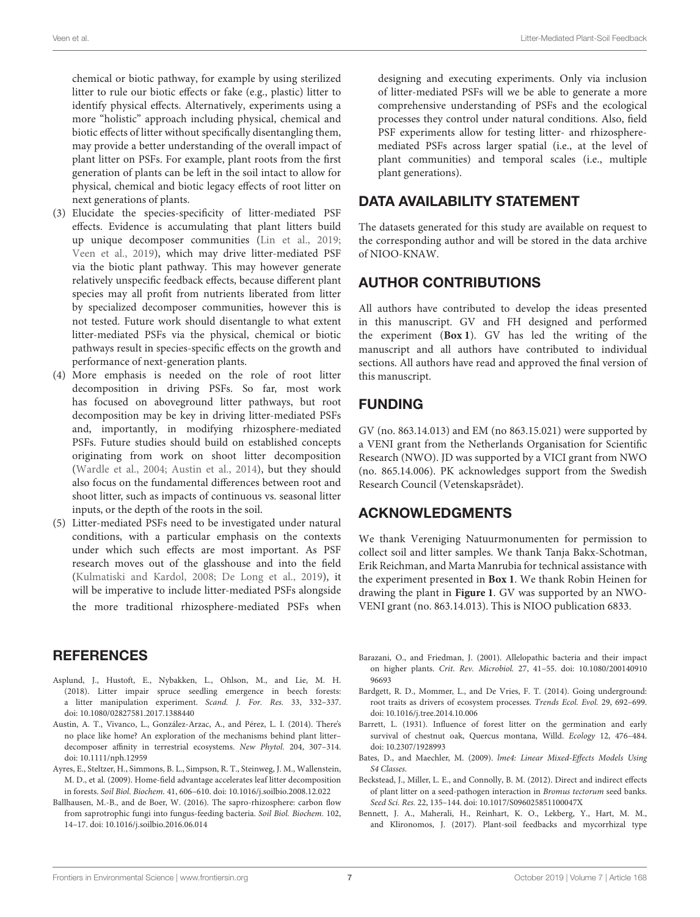chemical or biotic pathway, for example by using sterilized litter to rule our biotic effects or fake (e.g., plastic) litter to identify physical effects. Alternatively, experiments using a more "holistic" approach including physical, chemical and biotic effects of litter without specifically disentangling them, may provide a better understanding of the overall impact of plant litter on PSFs. For example, plant roots from the first generation of plants can be left in the soil intact to allow for physical, chemical and biotic legacy effects of root litter on next generations of plants.

- (3) Elucidate the species-specificity of litter-mediated PSF effects. Evidence is accumulating that plant litters build up unique decomposer communities [\(Lin et al., 2019;](#page-9-30) [Veen et al., 2019\)](#page-10-5), which may drive litter-mediated PSF via the biotic plant pathway. This may however generate relatively unspecific feedback effects, because different plant species may all profit from nutrients liberated from litter by specialized decomposer communities, however this is not tested. Future work should disentangle to what extent litter-mediated PSFs via the physical, chemical or biotic pathways result in species-specific effects on the growth and performance of next-generation plants.
- (4) More emphasis is needed on the role of root litter decomposition in driving PSFs. So far, most work has focused on aboveground litter pathways, but root decomposition may be key in driving litter-mediated PSFs and, importantly, in modifying rhizosphere-mediated PSFs. Future studies should build on established concepts originating from work on shoot litter decomposition [\(Wardle et al., 2004;](#page-10-0) [Austin et al., 2014\)](#page-7-1), but they should also focus on the fundamental differences between root and shoot litter, such as impacts of continuous vs. seasonal litter inputs, or the depth of the roots in the soil.
- (5) Litter-mediated PSFs need to be investigated under natural conditions, with a particular emphasis on the contexts under which such effects are most important. As PSF research moves out of the glasshouse and into the field [\(Kulmatiski and Kardol, 2008;](#page-9-40) [De Long et al., 2019\)](#page-8-38), it will be imperative to include litter-mediated PSFs alongside the more traditional rhizosphere-mediated PSFs when

#### designing and executing experiments. Only via inclusion of litter-mediated PSFs will we be able to generate a more comprehensive understanding of PSFs and the ecological processes they control under natural conditions. Also, field PSF experiments allow for testing litter- and rhizospheremediated PSFs across larger spatial (i.e., at the level of plant communities) and temporal scales (i.e., multiple plant generations).

## DATA AVAILABILITY STATEMENT

The datasets generated for this study are available on request to the corresponding author and will be stored in the data archive of NIOO-KNAW.

## AUTHOR CONTRIBUTIONS

All authors have contributed to develop the ideas presented in this manuscript. GV and FH designed and performed the experiment (**[Box 1](#page-3-0)**). GV has led the writing of the manuscript and all authors have contributed to individual sections. All authors have read and approved the final version of this manuscript.

## FUNDING

GV (no. 863.14.013) and EM (no 863.15.021) were supported by a VENI grant from the Netherlands Organisation for Scientific Research (NWO). JD was supported by a VICI grant from NWO (no. 865.14.006). PK acknowledges support from the Swedish Research Council (Vetenskapsrådet).

## ACKNOWLEDGMENTS

We thank Vereniging Natuurmonumenten for permission to collect soil and litter samples. We thank Tanja Bakx-Schotman, Erik Reichman, and Marta Manrubia for technical assistance with the experiment presented in **[Box 1](#page-3-0)**. We thank Robin Heinen for drawing the plant in **[Figure 1](#page-2-0)**. GV was supported by an NWO-VENI grant (no. 863.14.013). This is NIOO publication 6833.

#### **REFERENCES**

- <span id="page-7-3"></span>Asplund, J., Hustoft, E., Nybakken, L., Ohlson, M., and Lie, M. H. (2018). Litter impair spruce seedling emergence in beech forests: a litter manipulation experiment. Scand. J. For. Res. 33, 332–337. doi: [10.1080/02827581.2017.1388440](https://doi.org/10.1080/02827581.2017.1388440)
- <span id="page-7-1"></span>Austin, A. T., Vivanco, L., González-Arzac, A., and Pérez, L. I. (2014). There's no place like home? An exploration of the mechanisms behind plant litter– decomposer affinity in terrestrial ecosystems. New Phytol. 204, 307–314. doi: [10.1111/nph.12959](https://doi.org/10.1111/nph.12959)
- <span id="page-7-7"></span>Ayres, E., Steltzer, H., Simmons, B. L., Simpson, R. T., Steinweg, J. M., Wallenstein, M. D., et al. (2009). Home-field advantage accelerates leaf litter decomposition in forests. Soil Biol. Biochem. 41, 606–610. doi: [10.1016/j.soilbio.2008.12.022](https://doi.org/10.1016/j.soilbio.2008.12.022)
- <span id="page-7-8"></span>Ballhausen, M.-B., and de Boer, W. (2016). The sapro-rhizosphere: carbon flow from saprotrophic fungi into fungus-feeding bacteria. Soil Biol. Biochem. 102, 14–17. doi: [10.1016/j.soilbio.2016.06.014](https://doi.org/10.1016/j.soilbio.2016.06.014)
- <span id="page-7-6"></span>Barazani, O., and Friedman, J. (2001). Allelopathic bacteria and their impact on higher plants. Crit. Rev. Microbiol. [27, 41–55. doi: 10.1080/200140910](https://doi.org/10.1080/20014091096693) 96693
- <span id="page-7-5"></span>Bardgett, R. D., Mommer, L., and De Vries, F. T. (2014). Going underground: root traits as drivers of ecosystem processes. Trends Ecol. Evol. 29, 692–699. doi: [10.1016/j.tree.2014.10.006](https://doi.org/10.1016/j.tree.2014.10.006)
- <span id="page-7-4"></span>Barrett, L. (1931). Influence of forest litter on the germination and early survival of chestnut oak, Quercus montana, Willd. Ecology 12, 476–484. doi: [10.2307/1928993](https://doi.org/10.2307/1928993)
- <span id="page-7-2"></span>Bates, D., and Maechler, M. (2009). lme4: Linear Mixed-Effects Models Using S4 Classes.
- <span id="page-7-9"></span>Beckstead, J., Miller, L. E., and Connolly, B. M. (2012). Direct and indirect effects of plant litter on a seed-pathogen interaction in Bromus tectorum seed banks. Seed Sci. Res. 22, 135–144. doi: [10.1017/S096025851100047X](https://doi.org/10.1017/S096025851100047X)
- <span id="page-7-0"></span>Bennett, J. A., Maherali, H., Reinhart, K. O., Lekberg, Y., Hart, M. M., and Klironomos, J. (2017). Plant-soil feedbacks and mycorrhizal type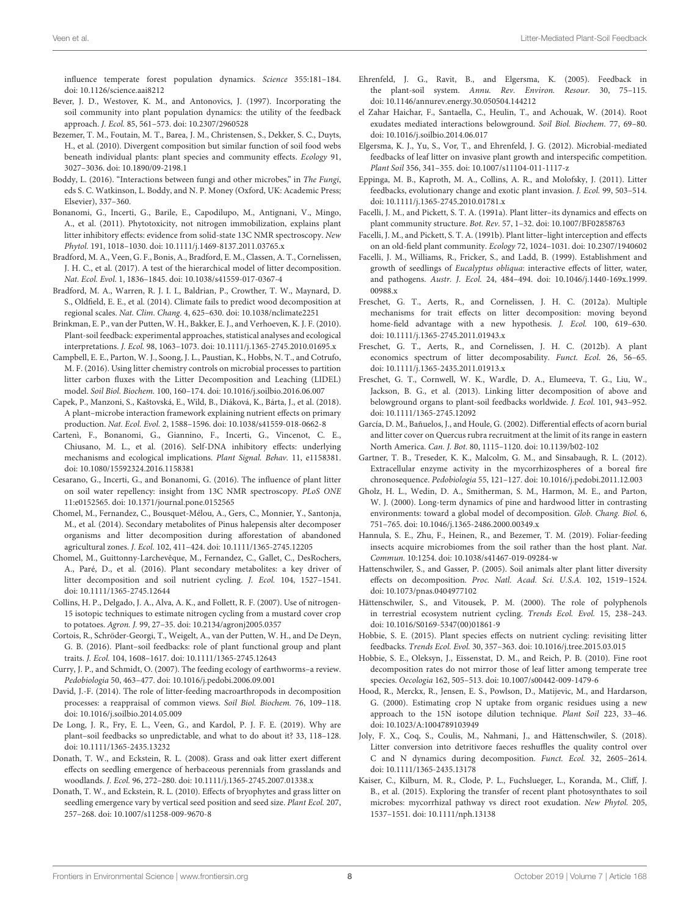influence temperate forest population dynamics. Science 355:181–184. doi: [10.1126/science.aai8212](https://doi.org/10.1126/science.aai8212)

- <span id="page-8-0"></span>Bever, J. D., Westover, K. M., and Antonovics, J. (1997). Incorporating the soil community into plant population dynamics: the utility of the feedback approach. J. Ecol. 85, 561–573. doi: [10.2307/2960528](https://doi.org/10.2307/2960528)
- <span id="page-8-27"></span>Bezemer, T. M., Foutain, M. T., Barea, J. M., Christensen, S., Dekker, S. C., Duyts, H., et al. (2010). Divergent composition but similar function of soil food webs beneath individual plants: plant species and community effects. Ecology 91, 3027–3036. doi: [10.1890/09-2198.1](https://doi.org/10.1890/09-2198.1)
- <span id="page-8-36"></span>Boddy, L. (2016). "Interactions between fungi and other microbes," in The Fungi, eds S. C. Watkinson, L. Boddy, and N. P. Money (Oxford, UK: Academic Press; Elsevier), 337–360.
- <span id="page-8-20"></span>Bonanomi, G., Incerti, G., Barile, E., Capodilupo, M., Antignani, V., Mingo, A., et al. (2011). Phytotoxicity, not nitrogen immobilization, explains plant litter inhibitory effects: evidence from solid-state 13C NMR spectroscopy. New Phytol. 191, 1018–1030. doi: [10.1111/j.1469-8137.2011.03765.x](https://doi.org/10.1111/j.1469-8137.2011.03765.x)
- <span id="page-8-26"></span>Bradford, M. A., Veen, G. F., Bonis, A., Bradford, E. M., Classen, A. T., Cornelissen, J. H. C., et al. (2017). A test of the hierarchical model of litter decomposition. Nat. Ecol. Evol. 1, 1836–1845. doi: [10.1038/s41559-017-0367-4](https://doi.org/10.1038/s41559-017-0367-4)
- <span id="page-8-25"></span>Bradford, M. A., Warren, R. J. I. I., Baldrian, P., Crowther, T. W., Maynard, D. S., Oldfield, E. E., et al. (2014). Climate fails to predict wood decomposition at regional scales. Nat. Clim. Chang. 4, 625–630. doi: [10.1038/nclimate2251](https://doi.org/10.1038/nclimate2251)
- <span id="page-8-8"></span>Brinkman, E. P., van der Putten, W. H., Bakker, E. J., and Verhoeven, K. J. F. (2010). Plant-soil feedback: experimental approaches, statistical analyses and ecological interpretations. J. Ecol. 98, 1063–1073. doi: [10.1111/j.1365-2745.2010.01695.x](https://doi.org/10.1111/j.1365-2745.2010.01695.x)
- <span id="page-8-39"></span>Campbell, E. E., Parton, W. J., Soong, J. L., Paustian, K., Hobbs, N. T., and Cotrufo, M. F. (2016). Using litter chemistry controls on microbial processes to partition litter carbon fluxes with the Litter Decomposition and Leaching (LIDEL) model. Soil Biol. Biochem. 100, 160–174. doi: [10.1016/j.soilbio.2016.06.007](https://doi.org/10.1016/j.soilbio.2016.06.007)
- <span id="page-8-32"></span>Capek, P., Manzoni, S., Kaštovská, E., Wild, B., Diáková, K., Bárta, J., et al. (2018). A plant–microbe interaction framework explaining nutrient effects on primary production. Nat. Ecol. Evol. 2, 1588–1596. doi: [10.1038/s41559-018-0662-8](https://doi.org/10.1038/s41559-018-0662-8)
- <span id="page-8-7"></span>Cartenì, F., Bonanomi, G., Giannino, F., Incerti, G., Vincenot, C. E., Chiusano, M. L., et al. (2016). Self-DNA inhibitory effects: underlying mechanisms and ecological implications. Plant Signal. Behav. 11, e1158381. doi: [10.1080/15592324.2016.1158381](https://doi.org/10.1080/15592324.2016.1158381)
- <span id="page-8-11"></span>Cesarano, G., Incerti, G., and Bonanomi, G. (2016). The influence of plant litter on soil water repellency: insight from 13C NMR spectroscopy. PLoS ONE 11:e0152565. doi: [10.1371/journal.pone.0152565](https://doi.org/10.1371/journal.pone.0152565)
- <span id="page-8-19"></span>Chomel, M., Fernandez, C., Bousquet-Mélou, A., Gers, C., Monnier, Y., Santonja, M., et al. (2014). Secondary metabolites of Pinus halepensis alter decomposer organisms and litter decomposition during afforestation of abandoned agricultural zones. J. Ecol. 102, 411–424. doi: [10.1111/1365-2745.12205](https://doi.org/10.1111/1365-2745.12205)
- <span id="page-8-17"></span>Chomel, M., Guittonny-Larchevêque, M., Fernandez, C., Gallet, C., DesRochers, A., Paré, D., et al. (2016). Plant secondary metabolites: a key driver of litter decomposition and soil nutrient cycling. J. Ecol. 104, 1527–1541. doi: [10.1111/1365-2745.12644](https://doi.org/10.1111/1365-2745.12644)
- <span id="page-8-35"></span>Collins, H. P., Delgado, J. A., Alva, A. K., and Follett, R. F. (2007). Use of nitrogen-15 isotopic techniques to estimate nitrogen cycling from a mustard cover crop to potatoes. Agron. J. 99, 27–35. doi: [10.2134/agronj2005.0357](https://doi.org/10.2134/agronj2005.0357)
- <span id="page-8-14"></span>Cortois, R., Schröder-Georgi, T., Weigelt, A., van der Putten, W. H., and De Deyn, G. B. (2016). Plant–soil feedbacks: role of plant functional group and plant traits. J. Ecol. 104, 1608–1617. doi: [10.1111/1365-2745.12643](https://doi.org/10.1111/1365-2745.12643)
- <span id="page-8-30"></span>Curry, J. P., and Schmidt, O. (2007). The feeding ecology of earthworms–a review. Pedobiologia 50, 463–477. doi: [10.1016/j.pedobi.2006.09.001](https://doi.org/10.1016/j.pedobi.2006.09.001)
- <span id="page-8-28"></span>David, J.-F. (2014). The role of litter-feeding macroarthropods in decomposition processes: a reappraisal of common views. Soil Biol. Biochem. 76, 109–118. doi: [10.1016/j.soilbio.2014.05.009](https://doi.org/10.1016/j.soilbio.2014.05.009)
- <span id="page-8-38"></span>De Long, J. R., Fry, E. L., Veen, G., and Kardol, P. J. F. E. (2019). Why are plant–soil feedbacks so unpredictable, and what to do about it? 33, 118–128. doi: [10.1111/1365-2435.13232](https://doi.org/10.1111/1365-2435.13232)
- <span id="page-8-12"></span>Donath, T. W., and Eckstein, R. L. (2008). Grass and oak litter exert different effects on seedling emergence of herbaceous perennials from grasslands and woodlands. J. Ecol. 96, 272–280. doi: [10.1111/j.1365-2745.2007.01338.x](https://doi.org/10.1111/j.1365-2745.2007.01338.x)
- <span id="page-8-13"></span>Donath, T. W., and Eckstein, R. L. (2010). Effects of bryophytes and grass litter on seedling emergence vary by vertical seed position and seed size. Plant Ecol. 207, 257–268. doi: [10.1007/s11258-009-9670-8](https://doi.org/10.1007/s11258-009-9670-8)
- <span id="page-8-1"></span>Ehrenfeld, J. G., Ravit, B., and Elgersma, K. (2005). Feedback in the plant-soil system. Annu. Rev. Environ. Resour. 30, 75–115. doi: [10.1146/annurev.energy.30.050504.144212](https://doi.org/10.1146/annurev.energy.30.050504.144212)
- <span id="page-8-3"></span>el Zahar Haichar, F., Santaella, C., Heulin, T., and Achouak, W. (2014). Root exudates mediated interactions belowground. Soil Biol. Biochem. 77, 69–80. doi: [10.1016/j.soilbio.2014.06.017](https://doi.org/10.1016/j.soilbio.2014.06.017)
- <span id="page-8-2"></span>Elgersma, K. J., Yu, S., Vor, T., and Ehrenfeld, J. G. (2012). Microbial-mediated feedbacks of leaf litter on invasive plant growth and interspecific competition. Plant Soil 356, 341–355. doi: [10.1007/s11104-011-1117-z](https://doi.org/10.1007/s11104-011-1117-z)
- <span id="page-8-15"></span>Eppinga, M. B., Kaproth, M. A., Collins, A. R., and Molofsky, J. (2011). Litter feedbacks, evolutionary change and exotic plant invasion. J. Ecol. 99, 503–514. doi: [10.1111/j.1365-2745.2010.01781.x](https://doi.org/10.1111/j.1365-2745.2010.01781.x)
- <span id="page-8-6"></span>Facelli, J. M., and Pickett, S. T. A. (1991a). Plant litter–its dynamics and effects on plant community structure. Bot. Rev. 57, 1–32. doi: [10.1007/BF02858763](https://doi.org/10.1007/BF02858763)
- <span id="page-8-9"></span>Facelli, J. M., and Pickett, S. T. A. (1991b). Plant litter–light interception and effects on an old-field plant community. Ecology 72, 1024–1031. doi: [10.2307/1940602](https://doi.org/10.2307/1940602)
- <span id="page-8-40"></span>Facelli, J. M., Williams, R., Fricker, S., and Ladd, B. (1999). Establishment and growth of seedlings of Eucalyptus obliqua: interactive effects of litter, water, and pathogens. Austr. J. Ecol. [24, 484–494. doi: 10.1046/j.1440-169x.1999.](https://doi.org/10.1046/j.1440-169x.1999.00988.x) 00988 x
- <span id="page-8-5"></span>Freschet, G. T., Aerts, R., and Cornelissen, J. H. C. (2012a). Multiple mechanisms for trait effects on litter decomposition: moving beyond home-field advantage with a new hypothesis. J. Ecol. 100, 619–630. doi: [10.1111/j.1365-2745.2011.01943.x](https://doi.org/10.1111/j.1365-2745.2011.01943.x)
- <span id="page-8-22"></span>Freschet, G. T., Aerts, R., and Cornelissen, J. H. C. (2012b). A plant economics spectrum of litter decomposability. Funct. Ecol. 26, 56–65. doi: [10.1111/j.1365-2435.2011.01913.x](https://doi.org/10.1111/j.1365-2435.2011.01913.x)
- <span id="page-8-23"></span>Freschet, G. T., Cornwell, W. K., Wardle, D. A., Elumeeva, T. G., Liu, W., Jackson, B. G., et al. (2013). Linking litter decomposition of above and belowground organs to plant-soil feedbacks worldwide. J. Ecol. 101, 943–952. doi: [10.1111/1365-2745.12092](https://doi.org/10.1111/1365-2745.12092)
- <span id="page-8-10"></span>García, D. M., Bañuelos, J., and Houle, G. (2002). Differential effects of acorn burial and litter cover on Quercus rubra recruitment at the limit of its range in eastern North America. Can. J. Bot. 80, 1115–1120. doi: [10.1139/b02-102](https://doi.org/10.1139/b02-102)
- <span id="page-8-37"></span>Gartner, T. B., Treseder, K. K., Malcolm, G. M., and Sinsabaugh, R. L. (2012). Extracellular enzyme activity in the mycorrhizospheres of a boreal fire chronosequence. Pedobiologia 55, 121–127. doi: [10.1016/j.pedobi.2011.12.003](https://doi.org/10.1016/j.pedobi.2011.12.003)
- <span id="page-8-33"></span>Gholz, H. L., Wedin, D. A., Smitherman, S. M., Harmon, M. E., and Parton, W. J. (2000). Long-term dynamics of pine and hardwood litter in contrasting environments: toward a global model of decomposition. Glob. Chang. Biol. 6, 751–765. doi: [10.1046/j.1365-2486.2000.00349.x](https://doi.org/10.1046/j.1365-2486.2000.00349.x)
- <span id="page-8-31"></span>Hannula, S. E., Zhu, F., Heinen, R., and Bezemer, T. M. (2019). Foliar-feeding insects acquire microbiomes from the soil rather than the host plant. Nat. Commun. 10:1254. doi: [10.1038/s41467-019-09284-w](https://doi.org/10.1038/s41467-019-09284-w)
- <span id="page-8-24"></span>Hattenschwiler, S., and Gasser, P. (2005). Soil animals alter plant litter diversity effects on decomposition. Proc. Natl. Acad. Sci. U.S.A. 102, 1519–1524. doi: [10.1073/pnas.0404977102](https://doi.org/10.1073/pnas.0404977102)
- <span id="page-8-18"></span>Hättenschwiler, S., and Vitousek, P. M. (2000). The role of polyphenols in terrestrial ecosystem nutrient cycling. Trends Ecol. Evol. 15, 238–243. doi: [10.1016/S0169-5347\(00\)01861-9](https://doi.org/10.1016/S0169-5347(00)01861-9)
- <span id="page-8-16"></span>Hobbie, S. E. (2015). Plant species effects on nutrient cycling: revisiting litter feedbacks. Trends Ecol. Evol. 30, 357–363. doi: [10.1016/j.tree.2015.03.015](https://doi.org/10.1016/j.tree.2015.03.015)
- <span id="page-8-21"></span>Hobbie, S. E., Oleksyn, J., Eissenstat, D. M., and Reich, P. B. (2010). Fine root decomposition rates do not mirror those of leaf litter among temperate tree species. Oecologia 162, 505–513. doi: [10.1007/s00442-009-1479-6](https://doi.org/10.1007/s00442-009-1479-6)
- <span id="page-8-34"></span>Hood, R., Merckx, R., Jensen, E. S., Powlson, D., Matijevic, M., and Hardarson, G. (2000). Estimating crop N uptake from organic residues using a new approach to the 15N isotope dilution technique. Plant Soil 223, 33–46. doi: [10.1023/A:1004789103949](https://doi.org/10.1023/A:1004789103949)
- <span id="page-8-29"></span>Joly, F. X., Coq, S., Coulis, M., Nahmani, J., and Hättenschwiler, S. (2018). Litter conversion into detritivore faeces reshuffles the quality control over C and N dynamics during decomposition. Funct. Ecol. 32, 2605–2614. doi: [10.1111/1365-2435.13178](https://doi.org/10.1111/1365-2435.13178)
- <span id="page-8-4"></span>Kaiser, C., Kilburn, M. R., Clode, P. L., Fuchslueger, L., Koranda, M., Cliff, J. B., et al. (2015). Exploring the transfer of recent plant photosynthates to soil microbes: mycorrhizal pathway vs direct root exudation. New Phytol. 205, 1537–1551. doi: [10.1111/nph.13138](https://doi.org/10.1111/nph.13138)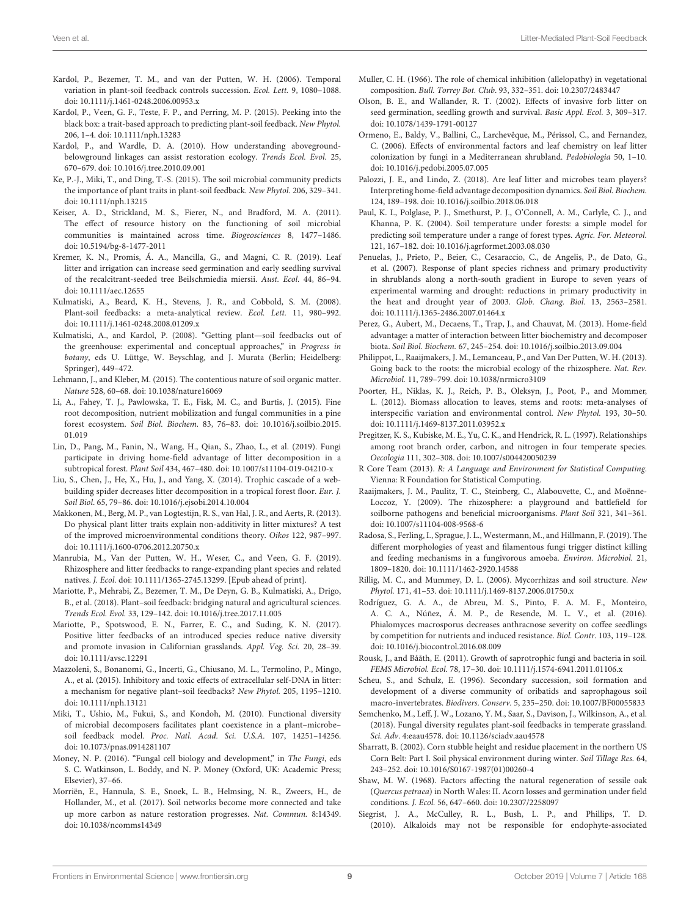- <span id="page-9-11"></span>Kardol, P., Bezemer, T. M., and van der Putten, W. H. (2006). Temporal variation in plant-soil feedback controls succession. Ecol. Lett. 9, 1080-1088. doi: [10.1111/j.1461-0248.2006.00953.x](https://doi.org/10.1111/j.1461-0248.2006.00953.x)
- <span id="page-9-3"></span>Kardol, P., Veen, G. F., Teste, F. P., and Perring, M. P. (2015). Peeking into the black box: a trait-based approach to predicting plant-soil feedback. New Phytol. 206, 1–4. doi: [10.1111/nph.13283](https://doi.org/10.1111/nph.13283)
- <span id="page-9-2"></span>Kardol, P., and Wardle, D. A. (2010). How understanding abovegroundbelowground linkages can assist restoration ecology. Trends Ecol. Evol. 25, 670–679. doi: [10.1016/j.tree.2010.09.001](https://doi.org/10.1016/j.tree.2010.09.001)
- <span id="page-9-4"></span>Ke, P.-J., Miki, T., and Ding, T.-S. (2015). The soil microbial community predicts the importance of plant traits in plant-soil feedback. New Phytol. 206, 329–341. doi: [10.1111/nph.13215](https://doi.org/10.1111/nph.13215)
- <span id="page-9-29"></span>Keiser, A. D., Strickland, M. S., Fierer, N., and Bradford, M. A. (2011). The effect of resource history on the functioning of soil microbial communities is maintained across time. Biogeosciences 8, 1477–1486. doi: [10.5194/bg-8-1477-2011](https://doi.org/10.5194/bg-8-1477-2011)
- <span id="page-9-17"></span>Kremer, K. N., Promis, Á. A., Mancilla, G., and Magni, C. R. (2019). Leaf litter and irrigation can increase seed germination and early seedling survival of the recalcitrant-seeded tree Beilschmiedia miersii. Aust. Ecol. 44, 86–94. doi: [10.1111/aec.12655](https://doi.org/10.1111/aec.12655)
- <span id="page-9-0"></span>Kulmatiski, A., Beard, K. H., Stevens, J. R., and Cobbold, S. M. (2008). Plant-soil feedbacks: a meta-analytical review. Ecol. Lett. 11, 980–992. doi: [10.1111/j.1461-0248.2008.01209.x](https://doi.org/10.1111/j.1461-0248.2008.01209.x)
- <span id="page-9-40"></span>Kulmatiski, A., and Kardol, P. (2008). "Getting plant—soil feedbacks out of the greenhouse: experimental and conceptual approaches," in Progress in botany, eds U. Lüttge, W. Beyschlag, and J. Murata (Berlin; Heidelberg: Springer), 449–472.
- <span id="page-9-23"></span>Lehmann, J., and Kleber, M. (2015). The contentious nature of soil organic matter. Nature 528, 60–68. doi: [10.1038/nature16069](https://doi.org/10.1038/nature16069)
- <span id="page-9-31"></span>Li, A., Fahey, T. J., Pawlowska, T. E., Fisk, M. C., and Burtis, J. (2015). Fine root decomposition, nutrient mobilization and fungal communities in a pine forest ecosystem. Soil Biol. Biochem. [83, 76–83. doi: 10.1016/j.soilbio.2015.](https://doi.org/10.1016/j.soilbio.2015.01.019) 01.019
- <span id="page-9-30"></span>Lin, D., Pang, M., Fanin, N., Wang, H., Qian, S., Zhao, L., et al. (2019). Fungi participate in driving home-field advantage of litter decomposition in a subtropical forest. Plant Soil 434, 467–480. doi: [10.1007/s11104-019-04210-x](https://doi.org/10.1007/s11104-019-04210-x)
- <span id="page-9-28"></span>Liu, S., Chen, J., He, X., Hu, J., and Yang, X. (2014). Trophic cascade of a webbuilding spider decreases litter decomposition in a tropical forest floor. Eur. J. Soil Biol. 65, 79–86. doi: [10.1016/j.ejsobi.2014.10.004](https://doi.org/10.1016/j.ejsobi.2014.10.004)
- <span id="page-9-20"></span>Makkonen, M., Berg, M. P., van Logtestijn, R. S., van Hal, J. R., and Aerts, R. (2013). Do physical plant litter traits explain non-additivity in litter mixtures? A test of the improved microenvironmental conditions theory. Oikos 122, 987–997. doi: [10.1111/j.1600-0706.2012.20750.x](https://doi.org/10.1111/j.1600-0706.2012.20750.x)
- <span id="page-9-38"></span>Manrubia, M., Van der Putten, W. H., Weser, C., and Veen, G. F. (2019). Rhizosphere and litter feedbacks to range-expanding plant species and related natives. J. Ecol. doi: [10.1111/1365-2745.13299.](https://doi.org/10.1111/1365-2745.13299) [Epub ahead of print].
- <span id="page-9-1"></span>Mariotte, P., Mehrabi, Z., Bezemer, T. M., De Deyn, G. B., Kulmatiski, A., Drigo, B., et al. (2018). Plant–soil feedback: bridging natural and agricultural sciences. Trends Ecol. Evol. 33, 129–142. doi: [10.1016/j.tree.2017.11.005](https://doi.org/10.1016/j.tree.2017.11.005)
- <span id="page-9-21"></span>Mariotte, P., Spotswood, E. N., Farrer, E. C., and Suding, K. N. (2017). Positive litter feedbacks of an introduced species reduce native diversity and promote invasion in Californian grasslands. Appl. Veg. Sci. 20, 28–39. doi: [10.1111/avsc.12291](https://doi.org/10.1111/avsc.12291)
- <span id="page-9-8"></span>Mazzoleni, S., Bonanomi, G., Incerti, G., Chiusano, M. L., Termolino, P., Mingo, A., et al. (2015). Inhibitory and toxic effects of extracellular self-DNA in litter: a mechanism for negative plant–soil feedbacks? New Phytol. 205, 1195–1210. doi: [10.1111/nph.13121](https://doi.org/10.1111/nph.13121)
- <span id="page-9-39"></span>Miki, T., Ushio, M., Fukui, S., and Kondoh, M. (2010). Functional diversity of microbial decomposers facilitates plant coexistence in a plant–microbe– soil feedback model. Proc. Natl. Acad. Sci. U.S.A. 107, 14251–14256. doi: [10.1073/pnas.0914281107](https://doi.org/10.1073/pnas.0914281107)
- <span id="page-9-33"></span>Money, N. P. (2016). "Fungal cell biology and development," in The Fungi, eds S. C. Watkinson, L. Boddy, and N. P. Money (Oxford, UK: Academic Press; Elsevier), 37–66.
- <span id="page-9-12"></span>Morriën, E., Hannula, S. E., Snoek, L. B., Helmsing, N. R., Zweers, H., de Hollander, M., et al. (2017). Soil networks become more connected and take up more carbon as nature restoration progresses. Nat. Commun. 8:14349. doi: [10.1038/ncomms14349](https://doi.org/10.1038/ncomms14349)
- <span id="page-9-25"></span>Muller, C. H. (1966). The role of chemical inhibition (allelopathy) in vegetational composition. Bull. Torrey Bot. Club. 93, 332–351. doi: [10.2307/2483447](https://doi.org/10.2307/2483447)
- <span id="page-9-15"></span>Olson, B. E., and Wallander, R. T. (2002). Effects of invasive forb litter on seed germination, seedling growth and survival. Basic Appl. Ecol. 3, 309–317. doi: [10.1078/1439-1791-00127](https://doi.org/10.1078/1439-1791-00127)
- <span id="page-9-22"></span>Ormeno, E., Baldy, V., Ballini, C., Larchevêque, M., Périssol, C., and Fernandez, C. (2006). Effects of environmental factors and leaf chemistry on leaf litter colonization by fungi in a Mediterranean shrubland. Pedobiologia 50, 1–10. doi: [10.1016/j.pedobi.2005.07.005](https://doi.org/10.1016/j.pedobi.2005.07.005)
- <span id="page-9-9"></span>Palozzi, J. E., and Lindo, Z. (2018). Are leaf litter and microbes team players? Interpreting home-field advantage decomposition dynamics. Soil Biol. Biochem. 124, 189–198. doi: [10.1016/j.soilbio.2018.06.018](https://doi.org/10.1016/j.soilbio.2018.06.018)
- <span id="page-9-19"></span>Paul, K. I., Polglase, P. J., Smethurst, P. J., O'Connell, A. M., Carlyle, C. J., and Khanna, P. K. (2004). Soil temperature under forests: a simple model for predicting soil temperature under a range of forest types. Agric. For. Meteorol. 121, 167–182. doi: [10.1016/j.agrformet.2003.08.030](https://doi.org/10.1016/j.agrformet.2003.08.030)
- <span id="page-9-13"></span>Penuelas, J., Prieto, P., Beier, C., Cesaraccio, C., de Angelis, P., de Dato, G., et al. (2007). Response of plant species richness and primary productivity in shrublands along a north-south gradient in Europe to seven years of experimental warming and drought: reductions in primary productivity in the heat and drought year of 2003. Glob. Chang. Biol. 13, 2563–2581. doi: [10.1111/j.1365-2486.2007.01464.x](https://doi.org/10.1111/j.1365-2486.2007.01464.x)
- <span id="page-9-10"></span>Perez, G., Aubert, M., Decaens, T., Trap, J., and Chauvat, M. (2013). Home-field advantage: a matter of interaction between litter biochemistry and decomposer biota. Soil Biol. Biochem. 67, 245–254. doi: [10.1016/j.soilbio.2013.09.004](https://doi.org/10.1016/j.soilbio.2013.09.004)
- <span id="page-9-6"></span>Philippot, L., Raaijmakers, J. M., Lemanceau, P., and Van Der Putten, W. H. (2013). Going back to the roots: the microbial ecology of the rhizosphere. Nat. Rev. Microbiol. 11, 789–799. doi: [10.1038/nrmicro3109](https://doi.org/10.1038/nrmicro3109)
- <span id="page-9-27"></span>Poorter, H., Niklas, K. J., Reich, P. B., Oleksyn, J., Poot, P., and Mommer, L. (2012). Biomass allocation to leaves, stems and roots: meta-analyses of interspecific variation and environmental control. New Phytol. 193, 30–50. doi: [10.1111/j.1469-8137.2011.03952.x](https://doi.org/10.1111/j.1469-8137.2011.03952.x)
- <span id="page-9-26"></span>Pregitzer, K. S., Kubiske, M. E., Yu, C. K., and Hendrick, R. L. (1997). Relationships among root branch order, carbon, and nitrogen in four temperate species. Oecologia 111, 302–308. doi: [10.1007/s004420050239](https://doi.org/10.1007/s004420050239)
- <span id="page-9-14"></span>R Core Team (2013). R: A Language and Environment for Statistical Computing. Vienna: R Foundation for Statistical Computing.
- <span id="page-9-7"></span>Raaijmakers, J. M., Paulitz, T. C., Steinberg, C., Alabouvette, C., and Moënne-Loccoz, Y. (2009). The rhizosphere: a playground and battlefield for soilborne pathogens and beneficial microorganisms. Plant Soil 321, 341–361. doi: [10.1007/s11104-008-9568-6](https://doi.org/10.1007/s11104-008-9568-6)
- <span id="page-9-36"></span>Radosa, S., Ferling, I., Sprague, J. L., Westermann, M., and Hillmann, F. (2019). The different morphologies of yeast and filamentous fungi trigger distinct killing and feeding mechanisms in a fungivorous amoeba. Environ. Microbiol. 21, 1809–1820. doi: [10.1111/1462-2920.14588](https://doi.org/10.1111/1462-2920.14588)
- <span id="page-9-34"></span>Rillig, M. C., and Mummey, D. L. (2006). Mycorrhizas and soil structure. New Phytol. 171, 41–53. doi: [10.1111/j.1469-8137.2006.01750.x](https://doi.org/10.1111/j.1469-8137.2006.01750.x)
- <span id="page-9-5"></span>Rodríguez, G. A. A., de Abreu, M. S., Pinto, F. A. M. F., Monteiro, A. C. A., Núñez, Á. M. P., de Resende, M. L. V., et al. (2016). Phialomyces macrosporus decreases anthracnose severity on coffee seedlings by competition for nutrients and induced resistance. Biol. Contr. 103, 119–128. doi: [10.1016/j.biocontrol.2016.08.009](https://doi.org/10.1016/j.biocontrol.2016.08.009)
- <span id="page-9-32"></span>Rousk, J., and Bååth, E. (2011). Growth of saprotrophic fungi and bacteria in soil. FEMS Microbiol. Ecol. 78, 17–30. doi: [10.1111/j.1574-6941.2011.01106.x](https://doi.org/10.1111/j.1574-6941.2011.01106.x)
- <span id="page-9-35"></span>Scheu, S., and Schulz, E. (1996). Secondary succession, soil formation and development of a diverse community of oribatids and saprophagous soil macro-invertebrates. Biodivers. Conserv. 5, 235–250. doi: [10.1007/BF00055833](https://doi.org/10.1007/BF00055833)
- <span id="page-9-37"></span>Semchenko, M., Leff, J. W., Lozano, Y. M., Saar, S., Davison, J., Wilkinson, A., et al. (2018). Fungal diversity regulates plant-soil feedbacks in temperate grassland. Sci. Adv. 4:eaau4578. doi: [10.1126/sciadv.aau4578](https://doi.org/10.1126/sciadv.aau4578)
- <span id="page-9-18"></span>Sharratt, B. (2002). Corn stubble height and residue placement in the northern US Corn Belt: Part I. Soil physical environment during winter. Soil Tillage Res. 64, 243–252. doi: [10.1016/S0167-1987\(01\)00260-4](https://doi.org/10.1016/S0167-1987(01)00260-4)
- <span id="page-9-16"></span>Shaw, M. W. (1968). Factors affecting the natural regeneration of sessile oak (Quercus petraea) in North Wales: II. Acorn losses and germination under field conditions. J. Ecol. 56, 647–660. doi: [10.2307/2258097](https://doi.org/10.2307/2258097)
- <span id="page-9-24"></span>Siegrist, J. A., McCulley, R. L., Bush, L. P., and Phillips, T. D. (2010). Alkaloids may not be responsible for endophyte-associated